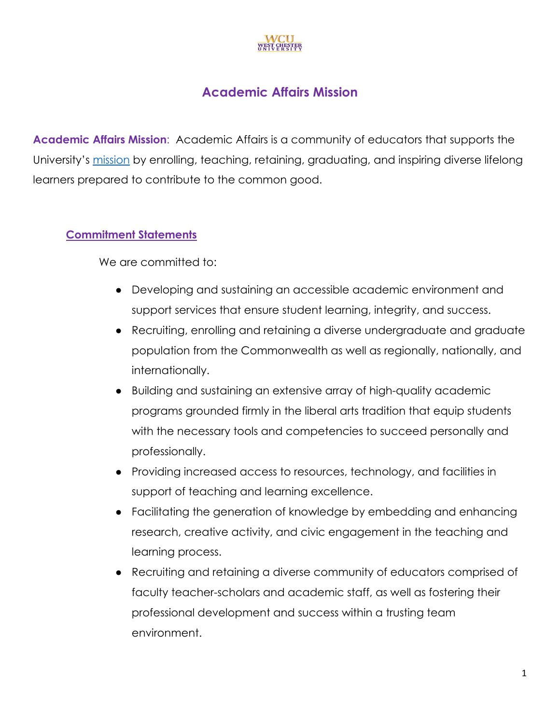

## **Academic Affairs Mission**

**Academic Affairs Mission**: Academic Affairs is a community of educators that supports the University's mission by enrolling, teaching, retaining, graduating, and inspiring diverse lifelong learners prepared to contribute to the common good.

## **Commitment Statements**

We are committed to:

- Developing and sustaining an accessible academic environment and support services that ensure student learning, integrity, and success.
- Recruiting, enrolling and retaining a diverse undergraduate and graduate population from the Commonwealth as well as regionally, nationally, and internationally.
- Building and sustaining an extensive array of high-quality academic programs grounded firmly in the liberal arts tradition that equip students with the necessary tools and competencies to succeed personally and professionally.
- Providing increased access to resources, technology, and facilities in support of teaching and learning excellence.
- Facilitating the generation of knowledge by embedding and enhancing research, creative activity, and civic engagement in the teaching and learning process.
- Recruiting and retaining a diverse community of educators comprised of faculty teacher-scholars and academic staff, as well as fostering their professional development and success within a trusting team environment.